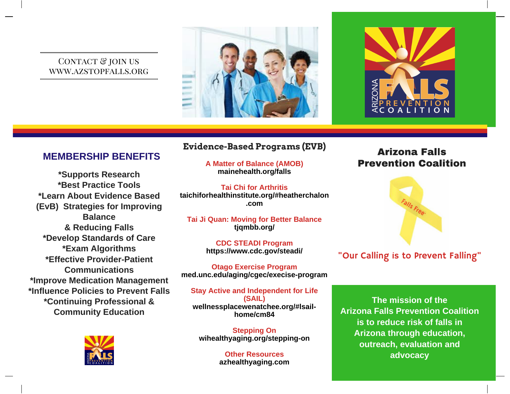#### CONTACT & JOIN US www.azstopfalls.org





### **MEMBERSHIP BENEFITS**

**\*Supports Research \*Best Practice Tools \*Learn About Evidence Based (EvB) Strategies for Improving Balance & Reducing Falls \*Develop Standards of Care \*Exam Algorithms \*Effective ProviderPatient Communications \*Improve Medication Management \*Influence Policies to Prevent Falls \*Continuing Professional & Community Education**



### **Evidence-Based Programs (EVB)**

**A Matter of Balance (AMOB) mainehealth.org/falls**

**Tai Chi for Arthritis taichiforhealthinstitute.org/#heatherchalon .com**

**Tai Ji Quan: Moving for Better Balance tjqmbb.org/**

> **CDC STEADI Program https://www.cdc.gov/steadi/**

**Otago Exercise Program med.unc.edu/aging/cgec/execiseprogram**

**Stay Active and Independent for Life (SAIL) wellnessplacewenatchee.org/#lsailhome/cm84**

**Stepping On** wihealthyaging.org/stepping-on

> **Other Resources azhealthyaging.com**

### **Arizona Falls Prevention Coalition**



### "Our Calling is to Prevent Falling"

**The mission of the Arizona Falls Prevention Coalition is to reduce risk of falls in Arizona through education, outreach, evaluation and advocacy**